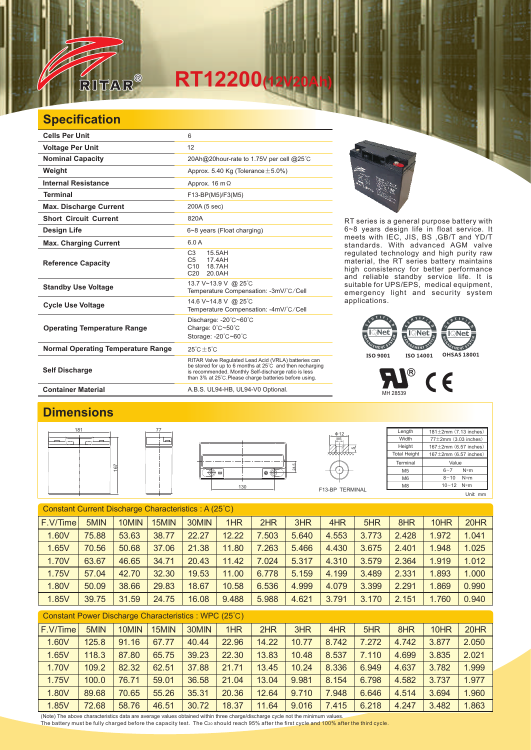# $RT12200$ <sub>(12</sub>

### **Specification**

RITAR

 $\sqrt{2}$ 

| <b>Cells Per Unit</b>                     | 6                                                                                                                                                                                                                                  |  |  |  |  |  |
|-------------------------------------------|------------------------------------------------------------------------------------------------------------------------------------------------------------------------------------------------------------------------------------|--|--|--|--|--|
| <b>Voltage Per Unit</b>                   | 12                                                                                                                                                                                                                                 |  |  |  |  |  |
| <b>Nominal Capacity</b>                   | 20Ah@20hour-rate to 1.75V per cell @25°C                                                                                                                                                                                           |  |  |  |  |  |
| Weight                                    | Approx. 5.40 Kg (Tolerance $\pm$ 5.0%)                                                                                                                                                                                             |  |  |  |  |  |
| <b>Internal Resistance</b>                | Approx. $16 \text{ m}\Omega$                                                                                                                                                                                                       |  |  |  |  |  |
| <b>Terminal</b>                           | F13-BP(M5)/F3(M5)                                                                                                                                                                                                                  |  |  |  |  |  |
| <b>Max. Discharge Current</b>             | 200A (5 sec)                                                                                                                                                                                                                       |  |  |  |  |  |
| <b>Short Circuit Current</b>              | 820A                                                                                                                                                                                                                               |  |  |  |  |  |
| <b>Design Life</b>                        | 6~8 years (Float charging)                                                                                                                                                                                                         |  |  |  |  |  |
| <b>Max. Charging Current</b>              | 6.0A                                                                                                                                                                                                                               |  |  |  |  |  |
| <b>Reference Capacity</b>                 | C <sub>3</sub><br>15.5AH<br>C <sub>5</sub><br>17.4AH<br>18.7AH<br>C <sub>10</sub><br>C <sub>20</sub><br>20.0AH                                                                                                                     |  |  |  |  |  |
| <b>Standby Use Voltage</b>                | 13.7 V~13.9 V @ 25°C<br>Temperature Compensation: -3mV/°C/Cell                                                                                                                                                                     |  |  |  |  |  |
| <b>Cycle Use Voltage</b>                  | 14.6 V~14.8 V @ 25°C<br>Temperature Compensation: -4mV/°C/Cell                                                                                                                                                                     |  |  |  |  |  |
| <b>Operating Temperature Range</b>        | Discharge: $-20^{\circ}$ C $-60^{\circ}$ C<br>Charge: 0°C~50°C<br>Storage: -20°C~60°C                                                                                                                                              |  |  |  |  |  |
| <b>Normal Operating Temperature Range</b> | $25^{\circ}$ C + 5 $^{\circ}$ C                                                                                                                                                                                                    |  |  |  |  |  |
| <b>Self Discharge</b>                     | RITAR Valve Regulated Lead Acid (VRLA) batteries can<br>be stored for up to 6 months at 25°C and then recharging<br>is recommended. Monthly Self-discharge ratio is less<br>than 3% at 25°C. Please charge batteries before using. |  |  |  |  |  |

RT series is a general purpose battery with 6~8 years design life in float service. It meets with IEC, JIS, BS ,GB/T and YD/T standards. With advanced AGM valve regulated technology and high purity raw material, the RT series battery maintains high consistency for better performance and reliable standby service life. It is suitable for UPS/EPS, medical equipment, emergency light and security system applications.



 $^{\circledR}$  $C<sub>6</sub>$ MH 28539

#### Container Material **Container Material** A.B.S. UL94-HB, UL94-V0 Optional.

#### **Dimensions**



#### Constant Current Discharge Characteristics : A (25℃) F.V/Time 5MIN | 10MIN | 15MIN | 30MIN | 1HR | 2HR | 3HR | 4HR | 5HR | 8HR | 10HR | 20HR 1.60V | 75.88 | 53.63 | 38.77 | 22.27 | 12.22 | 7.503 | 5.640 | 4.553 | 3.773 | 2.428 | 1.972 | 1.041 1.65V | 70.56 | 50.68 | 37.06 | 21.38 | 11.80 | 7.263 | 5.466 | 4.430 | 3.675 | 2.401 | 1.948 | 1.025 1.70V | 63.67 | 46.65 | 34.71 | 20.43 | 11.42 | 7.024 | 5.317 | 4.310 | 3.579 | 2.364 | 1.919 | 1.012 1.75V | 57.04 | 42.70 | 32.30 | 19.53 | 11.00 | 6.778 | 5.159 | 4.199 | 3.489 | 2.331 | 1.893 | 1.000 1.80V | 50.09 | 38.66 | 29.83 | 18.67 | 10.58 | 6.536 | 4.999 | 4.079 | 3.399 | 2.291 | 1.869 | 0.990 1.85V | 39.75 | 31.59 | 24.75 | 16.08 | 9.488 | 5.988 | 4.621 | 3.791 | 3.170 | 2.151 | 1.760 | 0.940

| Constant Power Discharge Characteristics: WPC (25°C) |       |       |       |       |       |       |       |       |       |       |       |       |
|------------------------------------------------------|-------|-------|-------|-------|-------|-------|-------|-------|-------|-------|-------|-------|
| F.V/Time                                             | 5MIN  | 10MIN | 15MIN | 30MIN | 1HR   | 2HR   | 3HR   | 4HR   | 5HR   | 8HR   | 10HR  | 20HR  |
| 1.60V                                                | 125.8 | 91.16 | 67.77 | 40.44 | 22.96 | 14.22 | 10.77 | 8.742 | 7.272 | 4.742 | 3.877 | 2.050 |
| 1.65V                                                | 118.3 | 87.80 | 65.75 | 39.23 | 22.30 | 13.83 | 10.48 | 8.537 | 7.110 | 4.699 | 3.835 | 2.021 |
| 1.70V                                                | 109.2 | 82.32 | 62.51 | 37.88 | 21.71 | 13.45 | 10.24 | 8.336 | 6.949 | 4.637 | 3.782 | 1.999 |
| 1.75V                                                | 100.0 | 76.71 | 59.01 | 36.58 | 21.04 | 13.04 | 9.981 | 8.154 | 6.798 | 4.582 | 3.737 | 1.977 |
| 1.80V                                                | 89.68 | 70.65 | 55.26 | 35.31 | 20.36 | 12.64 | 9.710 | 7.948 | 6.646 | 4.514 | 3.694 | 1.960 |
| 1.85V                                                | 72.68 | 58.76 | 46.51 | 30.72 | 18.37 | 11.64 | 9.016 | 7.415 | 6.218 | 4.247 | 3.482 | 1.863 |

(Note) The above characteristics data are average values obtained within three charge/discharge cycle not the minimum values. The battery must be fully charged before the capacity test. The C20 should reach 95% after the first cycle and 100% after the third cycle.